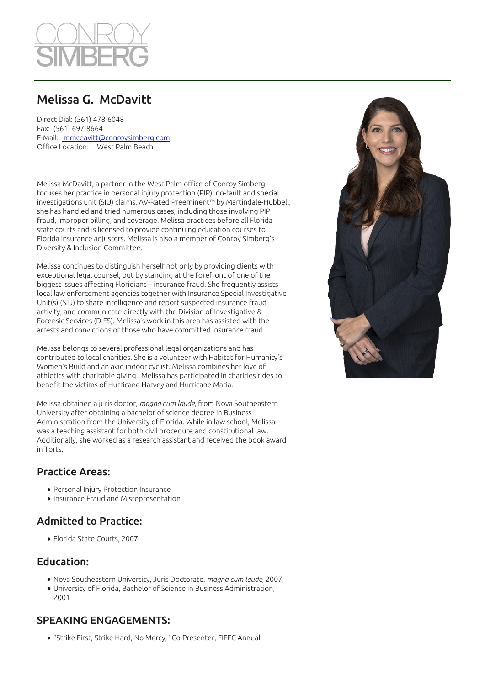

# Melissa G. McDavitt

Direct Dial: (561) 478-6048 Fax: (561) 697-8664 E-Mail: [mmcdavitt@conroysimberg.com](mailto:mmcdavitt@conroysimberg.com ) Office Location: West Palm Beach

Melissa McDavitt, a partner in the West Palm office of Conroy Simberg, focuses her practice in personal injury protection (PIP), no-fault and special investigations unit (SIU) claims. AV-Rated Preeminent™ by Martindale-Hubbell, she has handled and tried numerous cases, including those involving PIP fraud, improper billing, and coverage. Melissa practices before all Florida state courts and is licensed to provide continuing education courses to Florida insurance adjusters. Melissa is also a member of Conroy Simberg's Diversity & Inclusion Committee.

Melissa continues to distinguish herself not only by providing clients with exceptional legal counsel, but by standing at the forefront of one of the biggest issues affecting Floridians – insurance fraud. She frequently assists local law enforcement agencies together with Insurance Special Investigative Unit(s) (SIU) to share intelligence and report suspected insurance fraud activity, and communicate directly with the Division of Investigative & Forensic Services (DIFS). Melissa's work in this area has assisted with the arrests and convictions of those who have committed insurance fraud.

Melissa belongs to several professional legal organizations and has contributed to local charities. She is a volunteer with Habitat for Humanity's Women's Build and an avid indoor cyclist. Melissa combines her love of athletics with charitable giving. Melissa has participated in charities rides to benefit the victims of Hurricane Harvey and Hurricane Maria.

Melissa obtained a juris doctor, *magna cum laude*, from Nova Southeastern University after obtaining a bachelor of science degree in Business Administration from the University of Florida. While in law school, Melissa was a teaching assistant for both civil procedure and constitutional law. Additionally, she worked as a research assistant and received the book award in Torts.

### Practice Areas:

- Personal Injury Protection Insurance
- Insurance Fraud and Misrepresentation

# Admitted to Practice:

Florida State Courts, 2007

## Education:

- Nova Southeastern University, Juris Doctorate, *magna cum laude*, 2007
- University of Florida, Bachelor of Science in Business Administration, 2001

# SPEAKING ENGAGEMENTS:

"Strike First, Strike Hard, No Mercy," Co-Presenter, FIFEC Annual